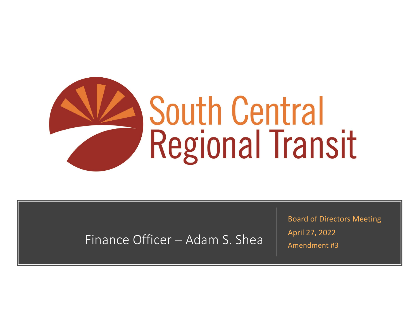

Finance Officer – Adam S. Shea

Board of Directors Meeting April 27, 2022 Amendment #3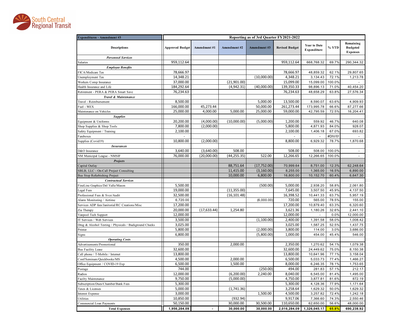

| <b>Expenditures - Amendment #3</b>                     | Reporting as of 3rd Quarter FY2021-2022 |              |              |              |                       |                                    |         |                                                 |  |  |
|--------------------------------------------------------|-----------------------------------------|--------------|--------------|--------------|-----------------------|------------------------------------|---------|-------------------------------------------------|--|--|
| <b>Descriptions</b>                                    | <b>Approved Budget</b>                  | Amendment #1 | Amendment #2 | Amendment#3  | <b>Revised Budget</b> | <b>Year to Date</b><br>Expenditure | % YTD   | Remaining<br><b>Budgeted</b><br><b>Expenses</b> |  |  |
| <b>Personnel Services</b>                              |                                         |              |              |              |                       |                                    |         |                                                 |  |  |
| Salaries                                               | 959,112.64                              |              |              |              | 959,112.64            | 668,768.32                         | 69.7%   | 290,344.32                                      |  |  |
| <b>Employee Benefits</b>                               |                                         |              |              |              |                       |                                    |         |                                                 |  |  |
| FICA/Medicare Tax                                      | 78,666.97                               |              |              |              | 78,666.97             | 48,859.32                          | 62.1%   | 29,807.65                                       |  |  |
| Unemployment Tax                                       | 14,348.21                               |              |              | (10,000.00)  | 4,348.21              | 3,134.43                           | 72.1%   | 1,213.78                                        |  |  |
| Workers Comp Insurance                                 | 37.000.00                               |              | (21,901.00)  |              | 15,099.00             | 15,099.00                          | 100.0%  |                                                 |  |  |
| Health Insurance and Life                              | 184,292.64                              |              | (4,942.31)   | (40,000.00)  | 139,350.33            | 98,896.13                          | 71.0%   | 40,454.20                                       |  |  |
| Retirement - PERA & PERA Smart Save                    | 76,234.63                               |              |              |              | 76,234.63             | 48,658.29                          | 63.8%   | 27,576.34                                       |  |  |
| Travel & Maintenance                                   |                                         |              |              |              |                       |                                    |         |                                                 |  |  |
| Travel - Reimbursement                                 | 8,500.00                                |              |              | 5,000.00     | 13,500.00             | 8,590.07                           | 63.6%   | 4,909.93                                        |  |  |
| Fuel - WEX                                             | 166,000.00                              | 45,273.44    |              | 50,000.00    | 261,273.44            | 173,995.78                         | 66.6%   | 87,277.66                                       |  |  |
| Maintenance on Vehicles                                | 25,000.00                               | 4,000.00     | 5,000.00     | 25,000.00    | 59,000.00             | 42,795.59                          | 72.5%   | 16,204.41                                       |  |  |
| <b>Supplies</b>                                        |                                         |              |              |              |                       |                                    |         |                                                 |  |  |
| Equipment & Uniforms                                   | 20,200.00                               | (4,000.00)   | (10,000.00)  | (5,000.00)   | 1,200.00              | 559.92                             | 46.7%   | 640.08                                          |  |  |
| Shop Supplies & Shop Tools                             | 7,800.00                                | (2,000.00)   |              |              | 5,800.00              | 4,871.93                           | 84.0%   | 928.07                                          |  |  |
| Safety Equipment / Training                            | 2,100.00                                |              |              |              | 2,100.00              | 1,406.18                           | 67.0%   | 693.82                                          |  |  |
| Fareboxes                                              |                                         |              |              |              |                       |                                    | #DIV/0! |                                                 |  |  |
| Supplies (Covid19)                                     | 10,800.00                               | (2,000.00)   |              |              | 8,800.00              | 6,929.32                           | 78.7%   | 1,870.68                                        |  |  |
| <b>Insurances</b>                                      |                                         |              |              |              |                       |                                    |         |                                                 |  |  |
| D&O Insurance                                          | 3,640.00                                | (3,640.00)   | 508.00       |              | 508.00                | 508.00                             | 100.0%  | $\omega$                                        |  |  |
| NM Municipal League - NMSIF                            | 76,000.00                               | (20,000.00)  | (44, 255.35) | 522.00       | 12,266.65             | 12.266.65                          | 100.0%  |                                                 |  |  |
| <b>Projects</b>                                        |                                         |              |              |              |                       |                                    |         |                                                 |  |  |
| Capital Outlay                                         |                                         |              | 88,751.64    | (17, 752.00) | 70,999.64             | 8,751.00                           | 12.3%   | 62,248.64                                       |  |  |
| SBLB, LLC - On-Call Project Consulting                 |                                         |              | 11,415.00    | (3, 160.00)  | 8,255.00              | 1,365.00                           | 16.5%   | 6,890.00                                        |  |  |
| <b>Bus Stop Refurbishing Project</b>                   |                                         |              | 10,000.00    | 6,800.00     | 16,800.00             | 10,152.70                          | 60.4%   | 6,647.30                                        |  |  |
| <b>Contractual Services</b>                            |                                         |              |              |              |                       |                                    |         |                                                 |  |  |
| FineLine Graphics/Del Valle/Mason                      | 5,500.00                                |              |              | (500.00)     | 5,000.00              | 2,938.20                           | 58.8%   | 2,061.80                                        |  |  |
| Legal Fees                                             | 19,000.00                               |              | (11, 355.00) |              | 7,645.00              | 3,507.50                           | 45.9%   | 4,137.50                                        |  |  |
| Professional Fees & Svcs/Audit                         | 32,500.00                               |              | (16, 101.48) |              | 16,398.52             | 10,441.33                          | 63.7%   | 5,957.19                                        |  |  |
| Alarm Monitoring / Airtime                             | 6,720.00                                |              |              | (6,000.00)   | 720.00                | 565.00                             | 78.5%   | 155.00                                          |  |  |
| Services ADP fees/Janitorial/RC Creations/Misc         | 17,200.00                               |              |              |              | 17,200.00             | 10,879.40                          | 63.3%   | 6,320.60                                        |  |  |
| Zia Therapy                                            | 20,000.00                               | (17, 633.44) | 1,254.80     |              | 3,621.36              | 1,180.26                           | 32.6%   | 2,441.10                                        |  |  |
| Vanpool Tech Support                                   | 12,000.00                               |              |              |              | 12,000.00             |                                    | 0.0%    | 12,000.00                                       |  |  |
| IT Services / Web Services                             | 3,500.00                                |              |              | (1,100.00)   | 2,400.00              | 1,391.58                           | 58.0%   | 1,008.42                                        |  |  |
| Drug & Alcohol Testing / Physicals / Background Checks | 3,025.00                                |              |              |              | 3,025.00              | 1,587.25                           | 52.5%   | 1,437.75                                        |  |  |
| Printer                                                | 5,800.00                                |              |              | (2,000.00)   | 3,800.00              | 114.00                             | 3.0%    | 3,686.00                                        |  |  |
| Signs                                                  | 6,800.00                                |              |              | (5,800.00)   | 1,000.00              | 454.00                             | 45.4%   | 546.00                                          |  |  |
| <b>Operating Costs</b>                                 |                                         |              |              |              |                       |                                    |         |                                                 |  |  |
| Advertisements/Promotional                             | 350.00                                  |              | 2,000.00     |              | 2,350.00              | 1,270.62                           | 54.1%   | 1,079.38                                        |  |  |
| <b>Bus Facility Lease</b>                              | 32,600.00                               |              |              |              | 32,600.00             | 24,449.62                          | 75.0%   | 8,150.38                                        |  |  |
| Cell phone / T-Mobile / Internet                       | 13,800.00                               |              |              |              | 13,800.00             | 10,641.96                          | 77.1%   | 3,158.04                                        |  |  |
| Conf/Seminars/Quickbooks/MS                            | 4,500.00                                |              | 2,000.00     |              | 6,500.00              | 5,033.73                           | 77.4%   | 1,466.27                                        |  |  |
| Office Equipment / COVID-19 Exp                        | 6,500.00                                |              | 1,500.00     |              | 8,000.00              | 6,246.35                           | 78.1%   | 1,753.65                                        |  |  |
| Postage                                                | 744.00                                  |              |              | (250.00)     | 494.00                | 281.83                             | 57.1%   | 212.17                                          |  |  |
| Radios                                                 | 12,000.00                               |              | (6, 200.00)  | 2,240.00     | 8,040.00              | 6,545.00                           | 81.4%   | 1,495.00                                        |  |  |
| <b>Facilty Maintenance</b>                             | 9,750.00                                |              | (5,000.00)   |              | 4,750.00              | 3,877.81                           | 81.6%   | 872.19                                          |  |  |
| Subscription/Dues/Chamber/Bank Fees                    | 5,300.00                                |              |              |              | 5,300.00              | 4,128.36                           | 77.9%   | 1,171.64                                        |  |  |
| Taxes & Licenses                                       | 5,000.00                                |              | (1,741.36)   |              | 3,258.64              | 1,629.32                           | 50.0%   | 1,629.32                                        |  |  |
| <b>Interest Expense</b>                                | 3,000.00                                |              |              | 1,500.00     | 4,500.00              | 3,257.82                           | 72.4%   | 1,242.18                                        |  |  |
| Utilities                                              | 10,850.00                               |              | (932.94)     |              | 9,917.06              | 7,366.60                           | 74.3%   | 2,550.46                                        |  |  |
| Commercial Loan Payments                               | 50,150.00                               |              | 30,000.00    | 30,500.00    | 110,650.00            | 62,650.00                          | 56.6%   | 48,000.00                                       |  |  |
| <b>Total Expenses</b>                                  | 1,956,284.09                            |              | 30,000.00    | 30.000.00    | 2,016,284.09          | 1,326,045.17                       | 65.8%   | 690,238.92                                      |  |  |
|                                                        |                                         |              |              |              |                       |                                    |         |                                                 |  |  |